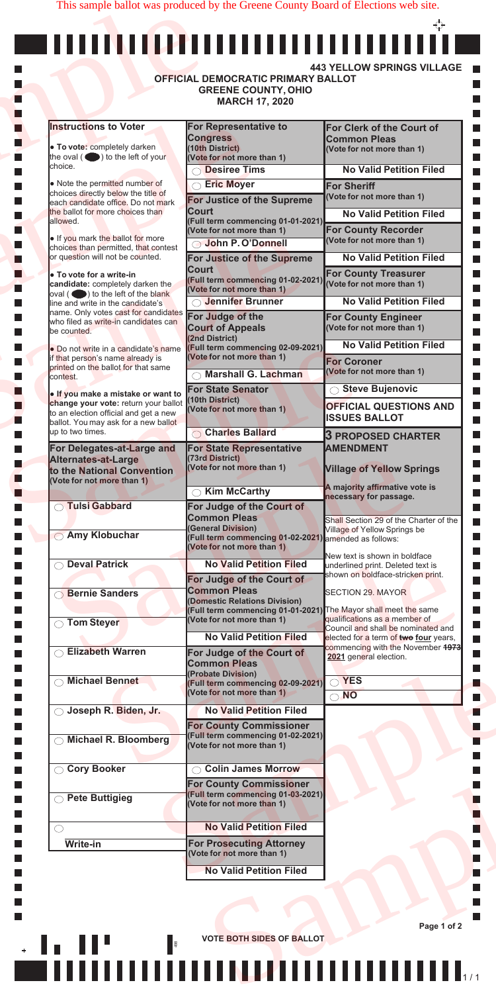|                                                                                          | <b>MARCH 17, 2020</b>                                                                            |                                                                        |
|------------------------------------------------------------------------------------------|--------------------------------------------------------------------------------------------------|------------------------------------------------------------------------|
| <b>Instructions to Voter</b>                                                             | For Representative to<br><b>Congress</b>                                                         | For Clerk of the Court of<br><b>Common Pleas</b>                       |
| • To vote: completely darken                                                             | (10th District)                                                                                  | (Vote for not more than 1)                                             |
| the oval $($ $\bullet)$ to the left of your<br>choice.                                   | (Vote for not more than 1)<br><b>Desiree Tims</b>                                                | <b>No Valid Petition Filed</b>                                         |
| • Note the permitted number of                                                           | ◯ Eric Moyer                                                                                     | <b>For Sheriff</b>                                                     |
| choices directly below the title of                                                      | For Justice of the Supreme                                                                       | (Vote for not more than 1)                                             |
| each candidate office. Do not mark<br>the ballot for more choices than                   | <b>Court</b>                                                                                     | <b>No Valid Petition Filed</b>                                         |
| allowed.                                                                                 | (Full term commencing 01-01-2021)<br>(Vote for not more than 1)                                  | <b>For County Recorder</b>                                             |
| . If you mark the ballot for more<br>choices than permitted, that contest                | John P. O'Donnell                                                                                | (Vote for not more than 1)                                             |
| or question will not be counted.                                                         | For Justice of the Supreme                                                                       | <b>No Valid Petition Filed</b>                                         |
| <b>• To vote for a write-in</b>                                                          | <b>Court</b><br>(Full term commencing 01-02-2021)                                                | <b>For County Treasurer</b><br>(Vote for not more than 1)              |
| candidate: completely darken the<br>$\alpha$ oval ( $\bullet$ ) to the left of the blank | (Vote for not more than 1)                                                                       |                                                                        |
| line and write in the candidate's<br>name. Only votes cast for candidates                | <b>Jennifer Brunner</b>                                                                          | <b>No Valid Petition Filed</b>                                         |
| who filed as write-in candidates can<br>be counted.                                      | For Judge of the<br><b>Court of Appeals</b>                                                      | <b>For County Engineer</b><br>(Vote for not more than 1)               |
| • Do not write in a candidate's name                                                     | (2nd District)<br><b>Full term commencing 02-09-2021)</b>                                        | <b>No Valid Petition Filed</b>                                         |
| if that person's name already is                                                         | (Vote for not more than 1)                                                                       | <b>For Coroner</b>                                                     |
| printed on the ballot for that same<br>contest.                                          | <b>Marshall G. Lachman</b>                                                                       | (Vote for not more than 1)                                             |
| . If you make a mistake or want to                                                       | <b>For State Senator</b>                                                                         | <b>Steve Bujenovic</b>                                                 |
| change your vote: return your ballot<br>to an election official and get a new            | (10th District)<br>(Vote for not more than 1)                                                    | <b>OFFICIAL QUESTIONS AND</b>                                          |
| ballot. You may ask for a new ballot<br>up to two times.                                 |                                                                                                  | <b>ISSUES BALLOT</b>                                                   |
| For Delegates-at-Large and                                                               | <b>Charles Ballard</b><br><b>For State Representative</b>                                        | <b>3 PROPOSED CHARTER</b><br><b>AMENDMENT</b>                          |
| <b>Alternates-at-Large</b>                                                               | (73rd District)                                                                                  |                                                                        |
| to the National Convention<br>(Vote for not more than 1)                                 | (Vote for not more than 1)                                                                       | <b>Village of Yellow Springs</b>                                       |
|                                                                                          | <b>Kim McCarthy</b>                                                                              | A majority affirmative vote is<br>necessary for passage.               |
| <b>O</b> Tulsi Gabbard                                                                   | For Judge of the Court of                                                                        |                                                                        |
|                                                                                          | <b>Common Pleas</b><br><b>(General Division)</b>                                                 | Shall Section 29 of the Charter of the<br>Village of Yellow Springs be |
| <b>Amy Klobuchar</b>                                                                     | Full term commencing 01-02-2021) amended as follows:<br>(Vote for not more than 1)               |                                                                        |
| <b>Deval Patrick</b>                                                                     | <b>No Valid Petition Filed</b>                                                                   | New text is shown in boldface                                          |
|                                                                                          | For Judge of the Court of                                                                        | underlined print. Deleted text is<br>shown on boldface-stricken print. |
| <b>Bernie Sanders</b>                                                                    | <b>Common Pleas</b>                                                                              | SECTION 29. MAYOR                                                      |
|                                                                                          | (Domestic Relations Division)<br>(Full term commencing 01-01-2021) The Mayor shall meet the same |                                                                        |
| ◯ Tom Steyer                                                                             | (Vote for not more than 1)                                                                       | qualifications as a member of<br>Council and shall be nominated and    |
|                                                                                          | <b>No Valid Petition Filed</b>                                                                   | elected for a term of two four years,                                  |
| <b>Elizabeth Warren</b>                                                                  | For Judge of the Court of                                                                        | commencing with the November 1973<br>2021 general election.            |
|                                                                                          | <b>Common Pleas</b><br><b>Probate Division)</b>                                                  |                                                                        |
| <b>Michael Bennet</b>                                                                    | <b>Full term commencing 02-09-2021)</b><br>(Vote for not more than 1)                            | $\bigcirc$ YES<br>$\bigcirc$ NO                                        |
| ◯ Joseph R. Biden, Jr.                                                                   | <b>No Valid Petition Filed</b>                                                                   |                                                                        |
|                                                                                          | <b>For County Commissioner</b>                                                                   |                                                                        |
| <b>Michael R. Bloomberg</b>                                                              | (Full term commencing 01-02-2021)<br>(Vote for not more than 1)                                  |                                                                        |
|                                                                                          |                                                                                                  |                                                                        |
| ◯ Cory Booker                                                                            | <b>Colin James Morrow</b>                                                                        |                                                                        |
| ◯ Pete Buttigieg                                                                         | <b>For County Commissioner</b><br><b>Full term commencing 01-03-2021)</b>                        |                                                                        |
|                                                                                          | (Vote for not more than 1)                                                                       |                                                                        |
| $\left(\begin{array}{c} \end{array}\right)$                                              | <b>No Valid Petition Filed</b>                                                                   |                                                                        |
| <b>Write-in</b>                                                                          | <b>For Prosecuting Attorney</b>                                                                  |                                                                        |
|                                                                                          | (Vote for not more than 1)                                                                       |                                                                        |
|                                                                                          | <b>No Valid Petition Filed</b>                                                                   |                                                                        |

This sample ballot was produced by the Greene County Board of Elections web site.